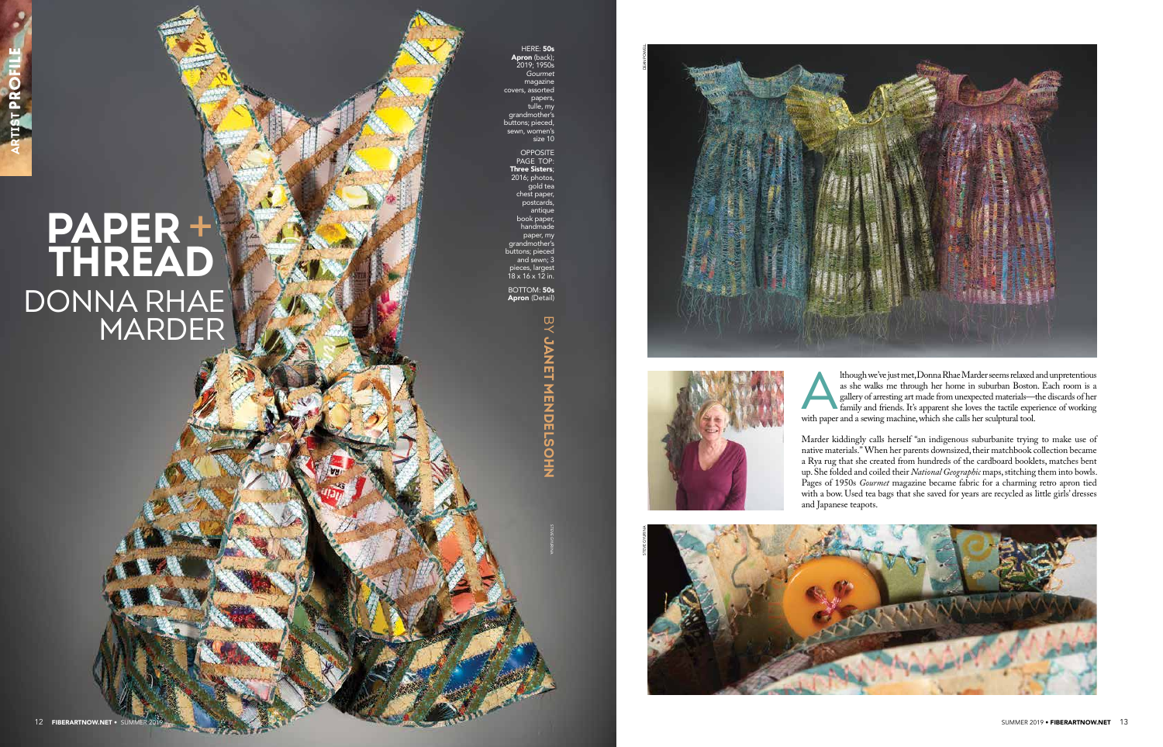HERE: 50s Apron (back); 2019; 1950s *Gourmet* magazine covers, assorted papers, tulle, my grandmother's buttons; pieced, sewn, women's

size 10

BOTTOM: **50s** Apron (Detail)

> **BY CANNH X HARDELSONS JANET MENDELSOHN**

OPPOSITE PAGE TOP: Three Sisters; 2016; photos, gold tea chest paper, **postcards** antique book paper, handmade paper, my grandmother' ittons; pieced and sewn; 3 pieces, largest 18 x 16 x 12 in.

> Ithough we've just met, Donna Rhae Marder seems relaxed and unpretentious<br>
> as she walks me through her home in suburban Boston. Each room is a<br>
> family and friends. It's apparent she loves the tactile experience of working<br> as she walks me through her home in suburban Boston. Each room is a gallery of arresting art made from unexpected materials—the discards of her with paper and a sewing machine, which she calls her sculptural tool.

## **PAPER**  + **THREAD** DONNA RHAE MARDER

Marder kiddingly calls herself "an indigenous suburbanite trying to make use of native materials." When her parents downsized, their matchbook collection became a Rya rug that she created from hundreds of the cardboard booklets, matches bent up. She folded and coiled their *National Geographic* maps, stitching them into bowls. Pages of 1950s *Gourmet* magazine became fabric for a charming retro apron tied with a bow. Used tea bags that she saved for years are recycled as little girls' dresses and Japanese teapots.

STEVE GYURINA